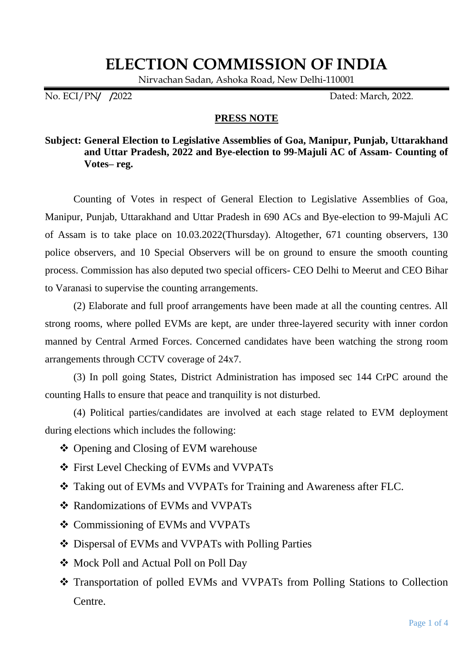## **ELECTION COMMISSION OF INDIA**

Nirvachan Sadan, Ashoka Road, New Delhi-110001

No. ECI/PN**/ /**2022 Dated: March, 2022.

## **PRESS NOTE**

## **Subject: General Election to Legislative Assemblies of Goa, Manipur, Punjab, Uttarakhand and Uttar Pradesh, 2022 and Bye-election to 99-Majuli AC of Assam- Counting of Votes– reg.**

Counting of Votes in respect of General Election to Legislative Assemblies of Goa, Manipur, Punjab, Uttarakhand and Uttar Pradesh in 690 ACs and Bye-election to 99-Majuli AC of Assam is to take place on 10.03.2022(Thursday). Altogether, 671 counting observers, 130 police observers, and 10 Special Observers will be on ground to ensure the smooth counting process. Commission has also deputed two special officers- CEO Delhi to Meerut and CEO Bihar to Varanasi to supervise the counting arrangements.

(2) Elaborate and full proof arrangements have been made at all the counting centres. All strong rooms, where polled EVMs are kept, are under three-layered security with inner cordon manned by Central Armed Forces. Concerned candidates have been watching the strong room arrangements through CCTV coverage of 24x7.

(3) In poll going States, District Administration has imposed sec 144 CrPC around the counting Halls to ensure that peace and tranquility is not disturbed.

(4) Political parties/candidates are involved at each stage related to EVM deployment during elections which includes the following:

- Opening and Closing of EVM warehouse
- First Level Checking of EVMs and VVPATs
- Taking out of EVMs and VVPATs for Training and Awareness after FLC.
- Randomizations of EVMs and VVPATs
- Commissioning of EVMs and VVPATs
- Dispersal of EVMs and VVPATs with Polling Parties
- Mock Poll and Actual Poll on Poll Day
- Transportation of polled EVMs and VVPATs from Polling Stations to Collection Centre.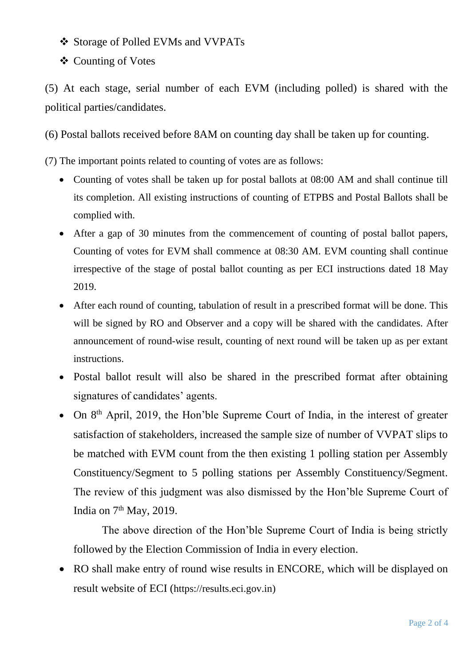- Storage of Polled EVMs and VVPATs
- ❖ Counting of Votes

(5) At each stage, serial number of each EVM (including polled) is shared with the political parties/candidates.

(6) Postal ballots received before 8AM on counting day shall be taken up for counting.

(7) The important points related to counting of votes are as follows:

- Counting of votes shall be taken up for postal ballots at 08:00 AM and shall continue till its completion. All existing instructions of counting of ETPBS and Postal Ballots shall be complied with.
- After a gap of 30 minutes from the commencement of counting of postal ballot papers, Counting of votes for EVM shall commence at 08:30 AM. EVM counting shall continue irrespective of the stage of postal ballot counting as per ECI instructions dated 18 May 2019.
- After each round of counting, tabulation of result in a prescribed format will be done. This will be signed by RO and Observer and a copy will be shared with the candidates. After announcement of round-wise result, counting of next round will be taken up as per extant instructions.
- Postal ballot result will also be shared in the prescribed format after obtaining signatures of candidates' agents.
- On 8<sup>th</sup> April, 2019, the Hon'ble Supreme Court of India, in the interest of greater satisfaction of stakeholders, increased the sample size of number of VVPAT slips to be matched with EVM count from the then existing 1 polling station per Assembly Constituency/Segment to 5 polling stations per Assembly Constituency/Segment. The review of this judgment was also dismissed by the Hon'ble Supreme Court of India on  $7<sup>th</sup>$  May, 2019.

The above direction of the Hon'ble Supreme Court of India is being strictly followed by the Election Commission of India in every election.

• RO shall make entry of round wise results in ENCORE, which will be displayed on result website of ECI ([https://results.eci.gov.in\)](https://results.eci.gov.in/)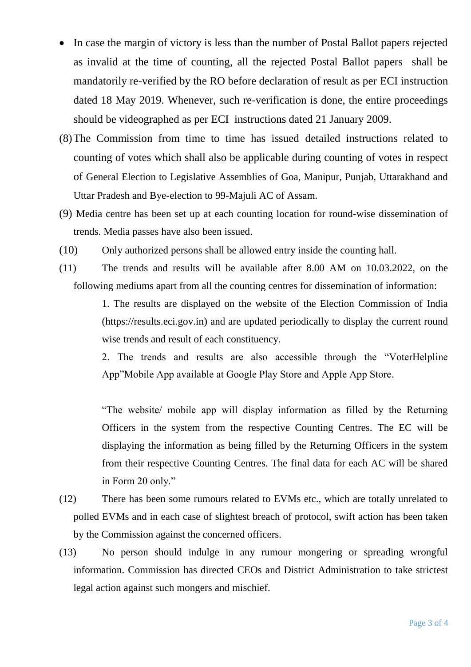- In case the margin of victory is less than the number of Postal Ballot papers rejected as invalid at the time of counting, all the rejected Postal Ballot papers shall be mandatorily re-verified by the RO before declaration of result as per ECI instruction dated 18 May 2019. Whenever, such re-verification is done, the entire proceedings should be videographed as per ECI instructions dated 21 January 2009.
- (8)The Commission from time to time has issued detailed instructions related to counting of votes which shall also be applicable during counting of votes in respect of General Election to Legislative Assemblies of Goa, Manipur, Punjab, Uttarakhand and Uttar Pradesh and Bye-election to 99-Majuli AC of Assam.
- (9) Media centre has been set up at each counting location for round-wise dissemination of trends. Media passes have also been issued.
- (10) Only authorized persons shall be allowed entry inside the counting hall.
- (11) The trends and results will be available after 8.00 AM on 10.03.2022, on the following mediums apart from all the counting centres for dissemination of information:

1. The results are displayed on the website of the Election Commission of India [\(https://results.eci.gov.in\)](https://results.eci.gov.in/) and are updated periodically to display the current round wise trends and result of each constituency.

2. The trends and results are also accessible through the "VoterHelpline App"Mobile App available at Google Play Store and Apple App Store.

"The website/ mobile app will display information as filled by the Returning Officers in the system from the respective Counting Centres. The EC will be displaying the information as being filled by the Returning Officers in the system from their respective Counting Centres. The final data for each AC will be shared in Form 20 only."

- (12) There has been some rumours related to EVMs etc., which are totally unrelated to polled EVMs and in each case of slightest breach of protocol, swift action has been taken by the Commission against the concerned officers.
- (13) No person should indulge in any rumour mongering or spreading wrongful information. Commission has directed CEOs and District Administration to take strictest legal action against such mongers and mischief.